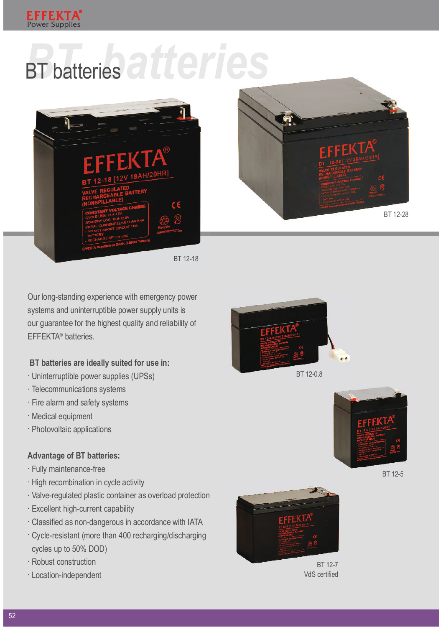

## BT batteries atteries





BT 12-18

Our long-standing experience with emergency power systems and uninterruptible power supply units is our guarantee for the highest quality and reliability of EFFEKTA<sup>®</sup> batteries.

## BT batteries are ideally suited for use in:

- $\cdot$  Uninterruptible power supplies (UPSs)
- $\cdot$  Telecommunications systems
- $\cdot$  Fire alarm and safety systems
- · Medical equipment
- · Photovoltaic applications

## Advantage of BT batteries:

- · Fully maintenance-free
- $\cdot$  High recombination in cycle activity
- $\cdot$  Valve-regulated plastic container as overload protection
- $\cdot$  Excellent high-current capability
- · Classified as non-dangerous in accordance with IATA
- $\cdot$  Cycle-resistant (more than 400 recharging/discharging cycles up to 50% DOD)
- · Robust construction
- $\cdot$  Location-independent



BT 12-0.8



BT 12-5



BT 12-7 VdS certified